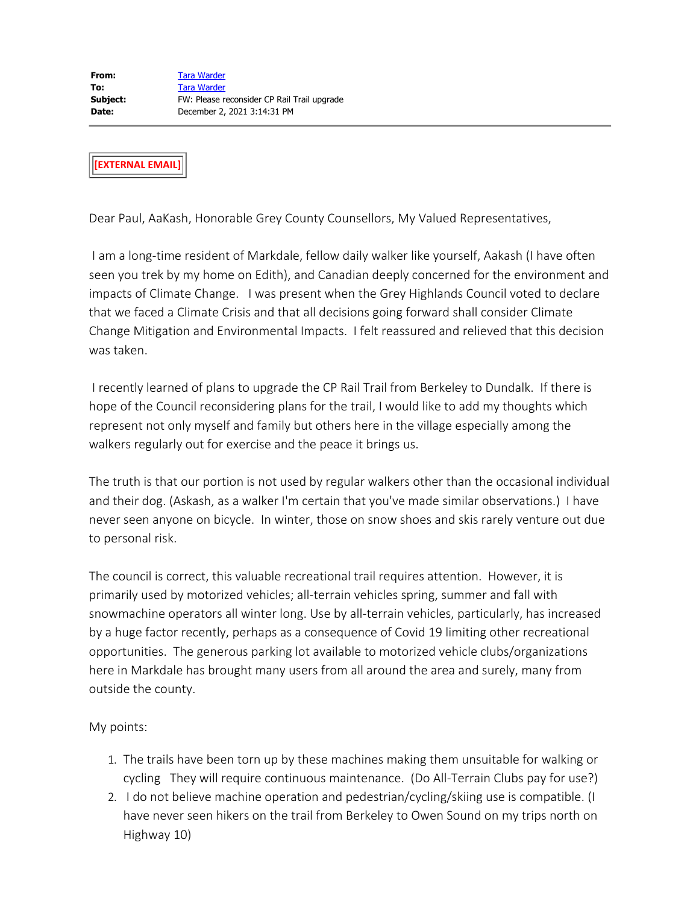**[EXTERNAL EMAIL]**

Dear Paul, AaKash, Honorable Grey County Counsellors, My Valued Representatives,

I am a long-time resident of Markdale, fellow daily walker like yourself, Aakash (I have often seen you trek by my home on Edith), and Canadian deeply concerned for the environment and impacts of Climate Change. I was present when the Grey Highlands Council voted to declare that we faced a Climate Crisis and that all decisions going forward shall consider Climate Change Mitigation and Environmental Impacts. I felt reassured and relieved that this decision was taken.

I recently learned of plans to upgrade the CP Rail Trail from Berkeley to Dundalk. If there is hope of the Council reconsidering plans for the trail, I would like to add my thoughts which represent not only myself and family but others here in the village especially among the walkers regularly out for exercise and the peace it brings us.

The truth is that our portion is not used by regular walkers other than the occasional individual and their dog. (Askash, as a walker I'm certain that you've made similar observations.) I have never seen anyone on bicycle. In winter, those on snow shoes and skis rarely venture out due to personal risk.

The council is correct, this valuable recreational trail requires attention. However, it is primarily used by motorized vehicles; all-terrain vehicles spring, summer and fall with snowmachine operators all winter long. Use by all-terrain vehicles, particularly, has increased by a huge factor recently, perhaps as a consequence of Covid 19 limiting other recreational opportunities. The generous parking lot available to motorized vehicle clubs/organizations here in Markdale has brought many users from all around the area and surely, many from outside the county.

My points:

- 1. The trails have been torn up by these machines making them unsuitable for walking or cycling They will require continuous maintenance. (Do All-Terrain Clubs pay for use?)
- 2. I do not believe machine operation and pedestrian/cycling/skiing use is compatible. (I have never seen hikers on the trail from Berkeley to Owen Sound on my trips north on Highway 10)